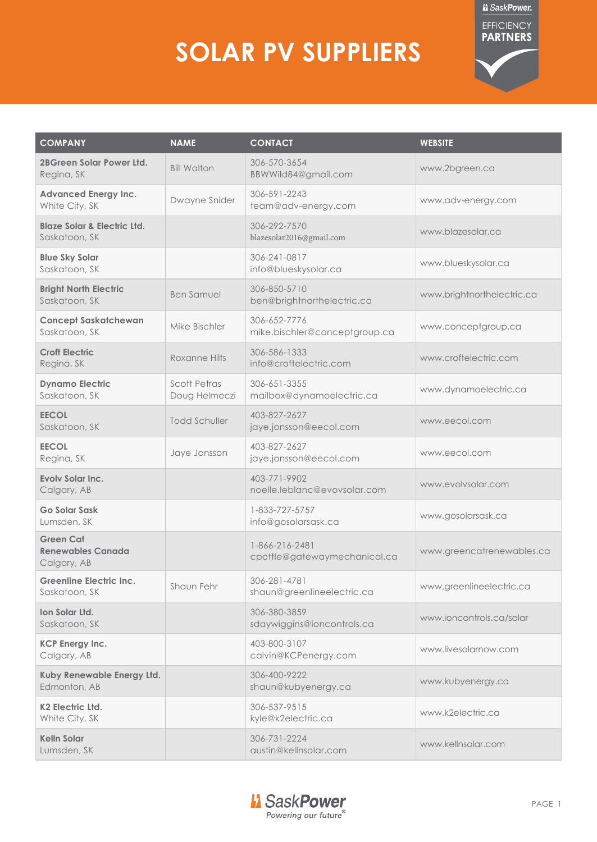## **SOLAR PV SUPPLIERS**



| <b>COMPANY</b>                                              | <b>NAME</b>                          | <b>CONTACT</b>                                 | <b>WEBSITE</b>             |
|-------------------------------------------------------------|--------------------------------------|------------------------------------------------|----------------------------|
| <b>2BGreen Solar Power Ltd.</b><br>Regina, SK               | <b>Bill Walton</b>                   | 306-570-3654<br>BBWWild84@gmail.com            | www.2bgreen.ca             |
| <b>Advanced Energy Inc.</b><br>White City, SK               | Dwayne Snider                        | 306-591-2243<br>team@adv-energy.com            | www.adv-energy.com         |
| <b>Blaze Solar &amp; Electric Ltd.</b><br>Saskatoon, SK     |                                      | 306-292-7570<br>blazesolar2016@gmail.com       | www.blazesolar.ca          |
| <b>Blue Sky Solar</b><br>Saskatoon, SK                      |                                      | 306-241-0817<br>info@blueskysolar.ca           | www.blueskysolar.ca        |
| <b>Bright North Electric</b><br>Saskatoon, SK               | <b>Ben Samuel</b>                    | 306-850-5710<br>ben@brightnorthelectric.ca     | www.brightnorthelectric.ca |
| <b>Concept Saskatchewan</b><br>Saskatoon, SK                | Mike Bischler                        | 306-652-7776<br>mike.bischler@conceptgroup.ca  | www.conceptgroup.ca        |
| <b>Croft Electric</b><br>Regina, SK                         | Roxanne Hilts                        | 306-586-1333<br>info@croftelectric.com         | www.croftelectric.com      |
| <b>Dynamo Electric</b><br>Saskatoon, SK                     | <b>Scott Petras</b><br>Doug Helmeczi | 306-651-3355<br>mailbox@dynamoelectric.ca      | www.dynamoelectric.ca      |
| <b>EECOL</b><br>Saskatoon, SK                               | <b>Todd Schuller</b>                 | 403-827-2627<br>jaye.jonsson@eecol.com         | www.eecol.com              |
| <b>EECOL</b><br>Regina, SK                                  | Jaye Jonsson                         | 403-827-2627<br>jaye.jonsson@eecol.com         | www.eecol.com              |
| Evoly Solar Inc.<br>Calgary, AB                             |                                      | 403-771-9902<br>noelle.leblanc@evovsolar.com   | www.evolvsolar.com         |
| Go Solar Sask<br>Lumsden, SK                                |                                      | 1-833-727-5757<br>info@gosolarsask.ca          | www.gosolarsask.ca         |
| <b>Green Cat</b><br><b>Renewables Canada</b><br>Calgary, AB |                                      | 1-866-216-2481<br>cpottle@gatewaymechanical.ca | www.greencatrenewables.ca  |
| <b>Greenline Electric Inc.</b><br>Saskatoon, SK             | Shaun Fehr                           | 306-281-4781<br>shaun@greenlineelectric.ca     | www.greenlineelectric.ca   |
| Ion Solar Ltd.<br>Saskatoon, SK                             |                                      | 306-380-3859<br>sdaywiggins@ioncontrols.ca     | www.ioncontrols.ca/solar   |
| <b>KCP Energy Inc.</b><br>Calgary, AB                       |                                      | 403-800-3107<br>calvin@KCPenergy.com           | www.livesolarnow.com       |
| Kuby Renewable Energy Ltd.<br>Edmonton, AB                  |                                      | 306-400-9222<br>shaun@kubyenergy.ca            | www.kubyenergy.ca          |
| <b>K2 Electric Ltd.</b><br>White City, SK                   |                                      | 306-537-9515<br>kyle@k2electric.ca             | www.k2electric.ca          |
| <b>Kelln Solar</b><br>Lumsden, SK                           |                                      | 306-731-2224<br>austin@kellnsolar.com          | www.kellnsolar.com         |
|                                                             |                                      |                                                |                            |